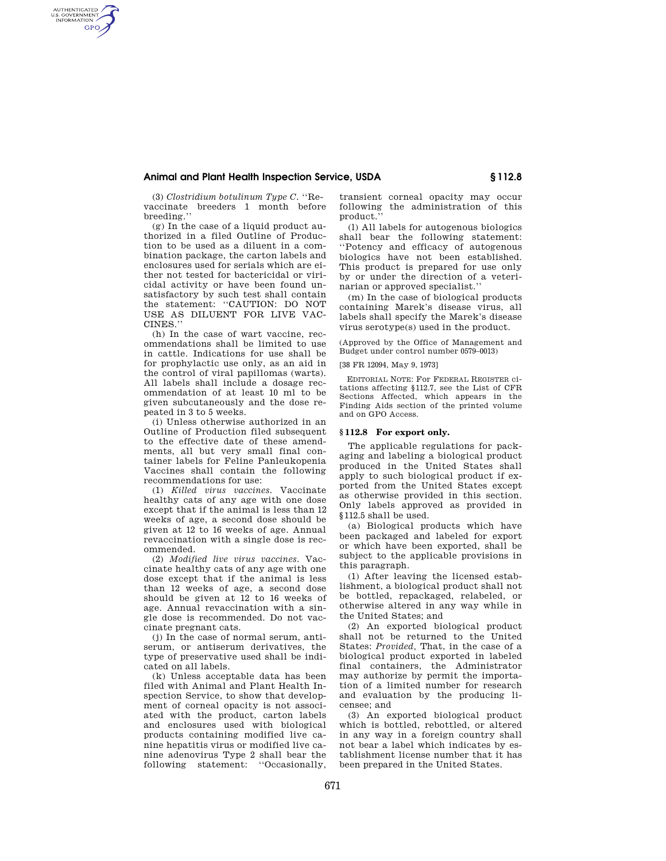# **Animal and Plant Health Inspection Service, USDA § 112.8**

(3) *Clostridium botulinum Type C.* ''Revaccinate breeders 1 month before breeding.''

AUTHENTICATED<br>U.S. GOVERNMENT<br>INFORMATION **GPO** 

> (g) In the case of a liquid product authorized in a filed Outline of Production to be used as a diluent in a combination package, the carton labels and enclosures used for serials which are either not tested for bactericidal or viricidal activity or have been found unsatisfactory by such test shall contain the statement: ''CAUTION: DO NOT USE AS DILUENT FOR LIVE VAC-CINES.''

> (h) In the case of wart vaccine, recommendations shall be limited to use in cattle. Indications for use shall be for prophylactic use only, as an aid in the control of viral papillomas (warts). All labels shall include a dosage recommendation of at least 10 ml to be given subcutaneously and the dose repeated in 3 to 5 weeks.

> (i) Unless otherwise authorized in an Outline of Production filed subsequent to the effective date of these amendments, all but very small final container labels for Feline Panleukopenia Vaccines shall contain the following recommendations for use:

> (1) *Killed virus vaccines.* Vaccinate healthy cats of any age with one dose except that if the animal is less than 12 weeks of age, a second dose should be given at 12 to 16 weeks of age. Annual revaccination with a single dose is recommended.

> (2) *Modified live virus vaccines.* Vaccinate healthy cats of any age with one dose except that if the animal is less than 12 weeks of age, a second dose should be given at 12 to 16 weeks of age. Annual revaccination with a single dose is recommended. Do not vaccinate pregnant cats.

> (j) In the case of normal serum, antiserum, or antiserum derivatives, the type of preservative used shall be indicated on all labels.

> (k) Unless acceptable data has been filed with Animal and Plant Health Inspection Service, to show that development of corneal opacity is not associated with the product, carton labels and enclosures used with biological products containing modified live canine hepatitis virus or modified live canine adenovirus Type 2 shall bear the following statement: "Occasionally,

transient corneal opacity may occur following the administration of this product.''

(l) All labels for autogenous biologics shall bear the following statement: ''Potency and efficacy of autogenous biologics have not been established. This product is prepared for use only by or under the direction of a veterinarian or approved specialist.''

(m) In the case of biological products containing Marek's disease virus, all labels shall specify the Marek's disease virus serotype(s) used in the product.

(Approved by the Office of Management and Budget under control number 0579–0013)

[38 FR 12094, May 9, 1973]

EDITORIAL NOTE: For FEDERAL REGISTER citations affecting §112.7, see the List of CFR Sections Affected, which appears in the Finding Aids section of the printed volume and on GPO Access.

### **§ 112.8 For export only.**

The applicable regulations for packaging and labeling a biological product produced in the United States shall apply to such biological product if exported from the United States except as otherwise provided in this section. Only labels approved as provided in §112.5 shall be used.

(a) Biological products which have been packaged and labeled for export or which have been exported, shall be subject to the applicable provisions in this paragraph.

(1) After leaving the licensed establishment, a biological product shall not be bottled, repackaged, relabeled, or otherwise altered in any way while in the United States; and

(2) An exported biological product shall not be returned to the United States: *Provided,* That, in the case of a biological product exported in labeled final containers, the Administrator may authorize by permit the importation of a limited number for research and evaluation by the producing licensee; and

(3) An exported biological product which is bottled, rebottled, or altered in any way in a foreign country shall not bear a label which indicates by establishment license number that it has been prepared in the United States.